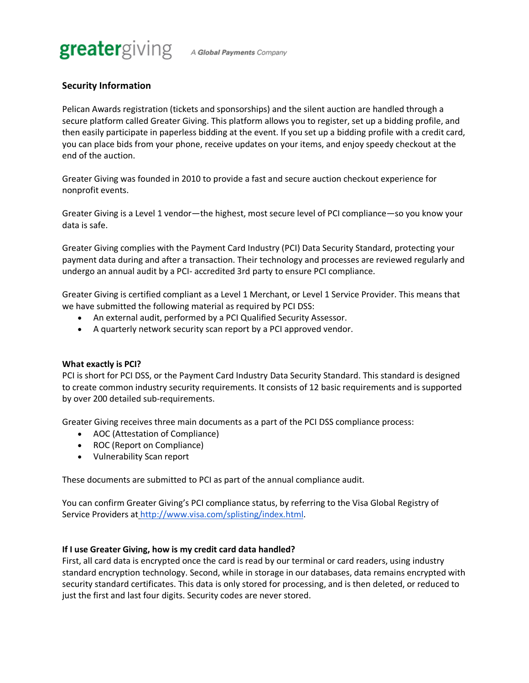

# **Security Information**

Pelican Awards registration (tickets and sponsorships) and the silent auction are handled through a secure platform called Greater Giving. This platform allows you to register, set up a bidding profile, and then easily participate in paperless bidding at the event. If you set up a bidding profile with a credit card, you can place bids from your phone, receive updates on your items, and enjoy speedy checkout at the end of the auction.

Greater Giving was founded in 2010 to provide a fast and secure auction checkout experience for nonprofit events.

Greater Giving is a Level 1 vendor—the highest, most secure level of PCI compliance—so you know your data is safe.

Greater Giving complies with the Payment Card Industry (PCI) Data Security Standard, protecting your payment data during and after a transaction. Their technology and processes are reviewed regularly and undergo an annual audit by a PCI- accredited 3rd party to ensure PCI compliance.

Greater Giving is certified compliant as a Level 1 Merchant, or Level 1 Service Provider. This means that we have submitted the following material as required by PCI DSS:

- An external audit, performed by a PCI Qualified Security Assessor.
- A quarterly network security scan report by a PCI approved vendor.

#### **What exactly is PCI?**

PCI is short for PCI DSS, or the Payment Card Industry Data Security Standard. This standard is designed to create common industry security requirements. It consists of 12 basic requirements and is supported by over 200 detailed sub-requirements.

Greater Giving receives three main documents as a part of the PCI DSS compliance process:

- AOC (Attestation of Compliance)
- ROC (Report on Compliance)
- Vulnerability Scan report

These documents are submitted to PCI as part of the annual compliance audit.

You can confirm Greater Giving's PCI compliance status, by referring to the Visa Global Registry of Service Providers at http://www.visa.com/splisting/index.html.

#### **If I use Greater Giving, how is my credit card data handled?**

First, all card data is encrypted once the card is read by our terminal or card readers, using industry standard encryption technology. Second, while in storage in our databases, data remains encrypted with security standard certificates. This data is only stored for processing, and is then deleted, or reduced to just the first and last four digits. Security codes are never stored.